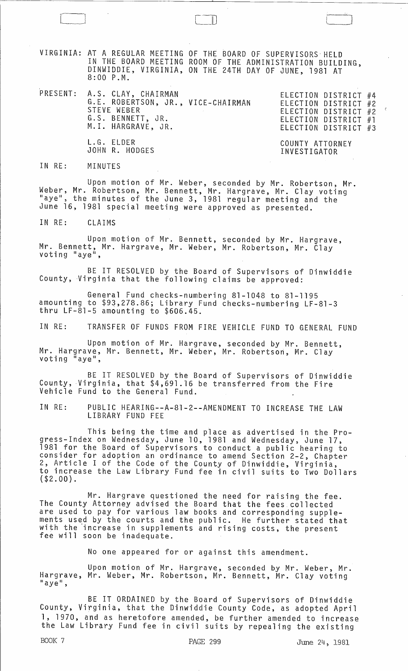VIRGINIA: AT A REGULAR MEETING OF THE BOARD OF SUPERVISORS' HELD IN THE BOARD MEETING ROOM OF THE ADMINISTRATION BUILDING, DINWIDDIE, VIRGINIA, ON THE 24TH DAY OF JUNE, 1981 AT 8:00 P.M.

PRESENT: A.S. CLAY, CHAIRMAN ELECTION DISTRICT #4 ELECTION DISTRICT #2 ELECTION DISTRICT #2 ELECTION DISTRICT #1 ELECTION DISTRICT #3 G.E. ROBERTSON, JR., VICE-CHAIRMAN STEVE WEBER G.S. BENNETT, JR. M.l. HARGRAVE, JR. L. G. ELDER JOHN R. HODGES COUNTY ATTORNEY INVESTIGATOR

IN RE: MINUTES

Upon motion of Mr. Weber, seconded by Mr. Robertson, Mr. Weber, Mr. Robertson, Mr. Bennett, Mr. Hargrave, Mr. Clay voting "aye", the minutes of the June 3, 1981 regular meeting and the June 16, 1981 special meeting were approved as presented.

IN RE: CLAIMS

Upon motion of Mr. Bennett, seconded by Mr. Hargrave, Mr. Bennett, Mr. Hargrave, Mr. Weber, Mr. Robertson, Mr. Clay<br>voting "aye",

BE IT RESOLVED by the Board of Supervisors of Dinwiddie County, 'Virginia that the following claims be approved:

General Fund checks-numbering 81-1048 to 81-1195 amounting to \$93,278.86; Library Fund checks-numbering LF-81-3 thru LF-81-5 amounting to \$606.45.

IN RE: TRANSFER OF FUNDS FROM FIRE VEHICLE FUND TO GENERAL FUND

Upon motion of Mr. Hargrave, seconded by Mr. Bennett, Mr. Hargrave, Mr. Bennett, Mr. Weber, Mr. Robertson, Mr. Clay<br>voting "aye",

BE IT RESOLVED by the Board of Supervisors of Dinwiddie County, Virginia, that \$4,691.16 be transferred from the Fire Vehicle Fund to the General Fund.

IN RE: PUBLIC HEARING--A-81-2--AMENDMENT TO INCREASE THE LAW LIBRARY FUND FEE

This being the time and place as advertised in the Progress-Index on Wednesday, June 10, 1981 and Wednesday, June 17, 1981 for the Board of Supervisors to conduct a public hearing to consider for adoption an ordinance to amend Section 2-2, Chapter<br>2, Article I of the Code of the County of Dinwiddie, Virginia, to increase the Law Library Fund fee in civil suits to Two Dollars (\$2.00).

Mr. Hargrave questioned the need for raising the fee. The County Attorney advised the Board that the fees collected are used to pay for various law books and corresponding supplements used by the courts and the public. He further stated that with the 'increase in supplements and rising costs, the present fee will soon be inadequate.

No one appeared for or against this amendment.

Upon motion of Mr. Hargrave, seconded by Mr. Weber, Mr. Hargrave, Mr. Weber, Mr. Robertson, Mr. Bennett, Mr. Clay voting<br>"aye",

BE IT ORDAINED by the Board of Supervisors of Dinwiddie County, Virginia, that the Dinwiddie County Code, as adopted April 1, 1970, and as heretofore amended, be further amended to increase the Law Library Fund fee in civil suits by repealing the existing

 $\mathbb{J}% _{M_{1},M_{2}}^{\alpha,\beta}$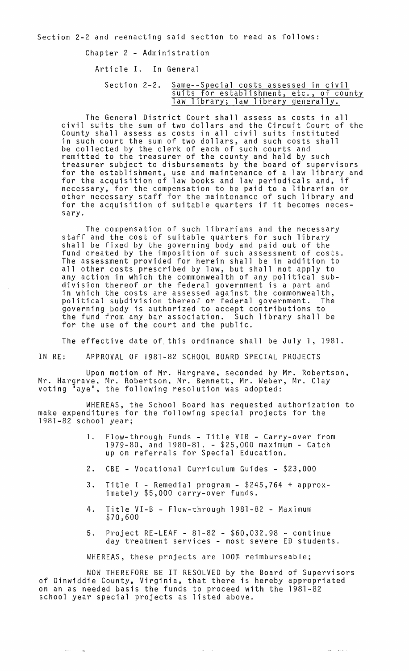Chapter 2 - Administration

Article I. In General

Section 2-2. Same--Special costs assessed in civil suits for establishment, etc., of county law library; law library generally.

The General District Court shall assess as costs in all civil suits the sum of two dollars and the Circuit Court of the County shall assess as costs in all civil suits instituted in such court the sum of two dollars, and such costs shall be collected by the clerk of each of such courts and remitted to the treasurer of the county and held by such treasurer subject to disbursements by the board of supervisors for the establishment, use and maintenance of a law library and for the acquisition of law books and law periodicals and, if necessary, for the compensation to be paid to a librarian or other necessary staff for the maintenance of such library and for the acquisition of suitable quarters if it becomes necessary.

The compensation of such librarians and the necessary staff and the cost of suitable quarters for such library shall be fixed by the governing body and paid out of the fund created by the imposition of such assessment of costs. The assessment provided for herein shall be in addition to all other costs prescribed by law, but shall not apply to any action in which the commonwealth of any political subdivision thereof or the federal government is a part and in which the costs are assessed against the commonwealth, political subdivision thereof or federal government. The governing body is authorized to accept contributions to the fund from any bar association. Such library shall be for the use of the court and the public.

The effective date of this ordinance shall be July 1, 1981.

IN RE: APPROVAL OF 1981-82 SCHOOL BOARD SPECIAL PROJECTS

Upon motion of Mr. Hargrave, seconded by Mr. Robertson, Mr. Hargrave, Mr. Robertson, Mr. Bennett, Mr. Weber, Mr. Clay voting "aye", the following resolution was adopted:

WHEREAS, the School Board has requested authorization to make expenditures for the following special projects for the 1981-82 school year;

- 1. Flow-through Funds Title VIB Carry-over from 1979-80, and 1980-81. - \$25,000 maximum - Catch up on referrals for Special Education.
- 2. CBE Vocational Curriculum Guides \$23,000
- 3. Title I Remedial program \$245,764 + approximately \$5,000 carry-over funds.
- 4. Title VI-B Flow-through 1981-82 Maximum \$70,600
- 5. Project RE-LEAF 81-82 \$60,032.98 continue day treatment services - most severe ED students.

WHEREAS, these projects are 100% reimburseable;

NOW THEREFORE BE IT RESOLVED by the Board of Supervisors of Dinwiddie County, Virginia, that there is hereby appropriated on an as needed basis the funds to proceed with the 1981-82 school year special projects as listed above.

 $\alpha = 1/2$ 

للأحجاب المعد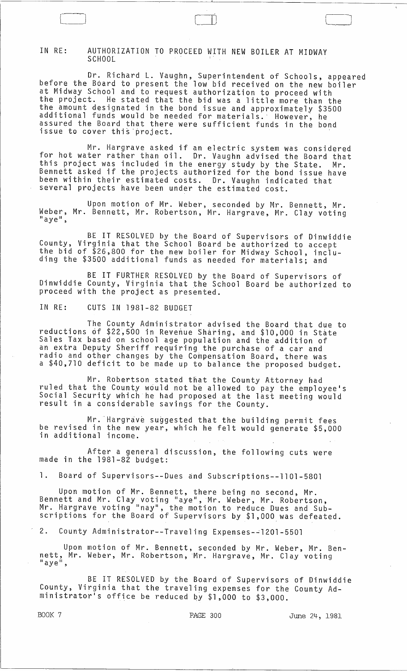## IN RE: AUTHORIZATION TO PROCEED WITH NEW BOILER AT MIDWAY **SCHOOL**

Dr. Richard L. Vaughn, Superintendent of Schools, appeared before the Board to present the low bid received on the new boiler at Midway School and to request authorization to proceed with<br>the project. He stated that the bid was a little more than tl He stated that the bid was a little more than the the amount designated in the bond issue and approximately \$3500 additional funds would be needed for materials.' However, he assured the Board that there were sufficient funds in the bond issue to cover this project.

Mr. Hargrave asked if an electric system was considered for hot water rather than oil. Dr. Vaughn advised the Board that this project was included in the energy study by the State. Mr. and progeed has moraded in one energy seady by the state. Mr.<br>Bennett asked if the projects authorized for the bond issue have been within their estimated costs. Dr. Vaughn indicated that several projects have been under the estimated cost.

Upon motion of Mr. Weber, seconded by Mr. Bennett, Mr. Weber, Mr. Bennett, Mr. Robertson, Mr. Hargrave, Mr. Clay voting<br>"aye",

BE IT RESOLVED by the Board of Supervisors of Dinwiddie<br>County, Virginia that the School Board be authorized to accept the bid of \$26,800 for the new boiler for Midway School, including the \$3500 additional funds as needed for materials; and

BE IT FURTHER RESOLVED by the Board of Supervisors of Dinwiddie County, Virginia that the School Board be authorized to proceed with the project as presented.

IN RE: CUTS IN 1981-82 BUDGET

The County Administrator advised the Board that due to reductions of \$22,500 in Revenue Sharing, and \$10,000 in State Sales Tax based on school age population and the addition of an extra Deputy Sheriff requiring the purchase of a car and radio and other changes by the Compensation Board, there was a \$40,710 deficit to be made up to balance the proposed budget.

Mr. Robertson stated that the County Attorney had ruled that the County would not be allowed to pay the employee's Social Security which he had proposed at the last meeting would result in a considerable savings for the County.

Mr. Hargrave suggested that the building permit fees be revised in the new year, which he felt would generate \$5,000 in additional income.

After a general discussion, the following cuts were made in the 1981-82 budget:

1. Board of Supervisors--Dues and Subscriptions--llOl-5801

Upon motion of Mr. Bennett, there being no second, Mr. Bennett and Mr. Clay voting "aye", Mr. Weber, Mr. Robertson, Mr. Hargrave voting "nay", the motion to reduce Dues and Subscriptions for the Board of Supervisors by \$1,000, was defeated.

2. County Administrator--Traveling Expenses-~1201-5501

Upon motion of Mr. Bennett, seconded by Mr. Weber, Mr. Bennett, Mr. Weber, Mr. Robertson, Mr. Hargrave, Mr. Clay voting<br>"aye",

BE IT RESOLVED by the Board of Supervisors of Dinwiddie County, Virginia that the traveling expenses for the County Administrator's office be reduced by \$1,000 to \$3,000.

BOOK 7 PAGE 300 June 24, 1981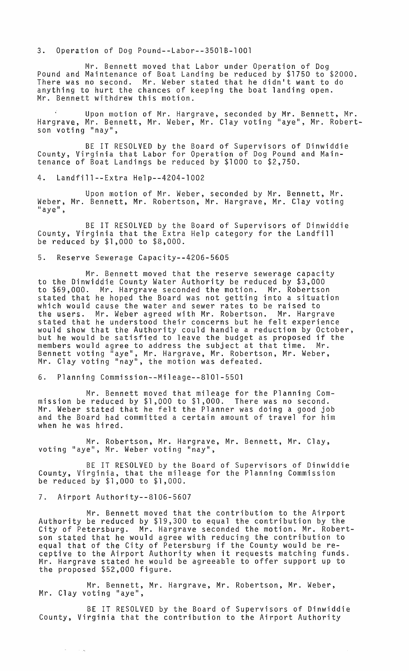3. Operation of Dog Pound--Labor--3501B-100l

Mr. Bennett moved that Labor under Operation of Dog Pound and Maintenance of Boat Landing be reduced by \$1750 to \$2000. There was no second. Mr. Weber stated that he didn't want to do anything to hurt the chances of keeping the boat landing open. Mr. Bennett withdrew this motion.

Upon motion of Mr. Hargrave, seconded by Mr. Bennett, Mr. Hargrave, Mr. Bennett, Mr. Weber, Mr. Clay voting "aye", Mr. Robertson voting "nay",

BE IT RESOLVED by the Board of Supervisors of Dinwiddie County, Virginia that Labor for Operation of Dog Pound and Maintenance of Boat Landings be reduced by \$1000 to \$2,750.

4. Landfill--Extra Help--4204-1002

Upon motion of Mr. Weber, seconded by Mr. Bennett, Mr. Weber, Mr. Bennett, Mr. Robertson, Mr. Hargrave, Mr. Clay voting<br>"aye",

BE IT RESOLVED by the Board of Supervisors of Dinwiddie County, Virginia that the Extra Help category for the Landfill be reduced by \$1,000 to \$8,000.

5. Reserve Sewerage Capacity--4206-5605

Mr. Bennett moved that the reserve sewerage capacity to the Dinwiddie County Water Authority be reduced by \$3,000 to \$69,000. Mr. Hargrave seconded the motion. Mr. Robertson stated that he hoped the Board was not getting into a situation which would cause the water and sewer rates to be raised to the users. Mr. Weber agreed with Mr. Robertson. Mr. Hargrave stated that he understood their concerns but he felt experience would show that the Authority could handle a reduction by October, but he would be satisfied to leave the budget as proposed if the members would agree to address the subject at that time. Mr. Bennett voting "aye", Mr. Hargrave, Mr. Robertson, Mr. Weber, Mr. Clay voting "nay", the motion was defeated.

6. Planning Commission--Mileage--8l0l-5501

Mr. Bennett moved that mileage for the Planning Commission be reduced by \$1,000 to \$1,000. There was no second. Mr. Weber stated that he felt the Planner was doing a good job and the Board had committed a certain amount of travel for him when he was hired.

Mr. Robertson, Mr. Hargrave, Mr. Bennett, Mr. Clay, voting "aye", Mr. Weber voting "nay",

BE IT RESOLVED by the Board of Supervisors of Dinwiddie County, Virginia, that the mileage for the Planning Commission be reduced by \$1,000 to \$1,000.

7. Airport Authority--8l06-5607

 $\omega_{\rm{eff}}$ 

 $\sim 10^{11}$ 

Mr. Bennett moved that the contribution to the Airport Authority be reduced by \$19,300 to equal the contribution by the City of Petersburg. Mr. Hargrave seconded the motion. Mr. Robertson stated that he would agree with reducing the contribution to equal that of the City of Petersburg if the County would be reequal that of the City of Fetersburg if the county would be re-<br>ceptive to the Airport Authority when it requests matching funds. Mr. Hargrave stated he would be agreeable to offer support up to the proposed \$52,000 figure.

Mr. Bennett, Mr. Hargrave, Mr. Robertson, Mr. Weber, Mr. Clay voting "aye",

BE IT RESOLVED by the Board of Supervisors of Dinwiddie County, Virginia that the contribution to the Airport Authority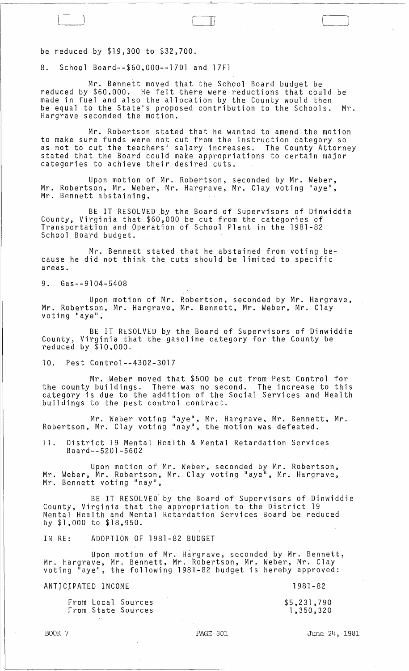be reduced by \$19,300 to \$32,700.

8. School Board--\$60,000--17Dl and 17Fl

Mr. Bennett moved that the School Board budget be reduced by \$60,000. He felt there were reductions that could be made in fuel and also the allocation by the County would then be equal to the State·s proposed contribution to the Schools. Mr. Hargrave seconded the motion.

Mr. Robertson stated that he wanted to amend the motion to make sure funds were not cut from the Instruction category so as not to cut the teachers· salary increases. The County Attorney stated that the Board could make appropriations to certain major categories to achieve their desired. cuts.

Upon motion of Mr. Robertson, seconded by Mr. Weber, Mr. Robertson, Mr. Weber, Mr. Hargrave, Mr. Clay voting "aye", Mr. Bennett abstaining,

BE IT RESOLVED .by the Board of Supervisors of Dinwiddie County, Virginia that \$60,000 be cut from the categories of Transportation and Operation of School Plant in the 1981-82 School Board budget.

Mr. Bennett stated that he abstained from voting because he did not think the cuts should be limited to specific areas.

9. Gas--9104-5408

Upon motion of Mr. Robertson, seconded by Mr. Hargrave, Mr. Robertson, Mr. Hargrave, Mr. Bennett, Mr. Weber, Mr. Clay<br>voting "aye",

BE IT RESOLVED by the Board of Supervisors of Dinwiddie County, Virginia that the gasoline category for the County be reduced by \$10,000.

10. Pest Control--4302-3017

Mr. Weber moved that \$500 be cut from Pest Control for the county buildings. There was no second. The increase to this category is due to the addition of the Social Services and Health buildings to the pest control contract.

Mr. Weber voting "aye", Mr. Hargrave, Mr. Bennett, Mr. Robertson, Mr. Clay voting "nay", the motion was defeated.

11. District 19 Mental Health & Mental Retardation Services Board--5201-5602

Upon motion of Mr. Weber, seconded by Mr. Robertson, Mr. Weber, Mr. Robertson, Mr. Clay voting "aye", Mr. Hargrave, Mr. Bennett voting "nay",

BE IT RESOLVED by the Board of Supervisors of Dinwiddie County, Virginia that the appropriation to the District 19 Mental Health and Mental Retardation Services Board be reduced by \$1,000 to \$18,950.

IN RE: ADOPTION OF 1981-82 BUDGET

Upon motion of Mr. Hargrave, seconded by Mr. Bennett, Mr. Hargrave, Mr. Bennett, Mr. Robertson, Mr. Weber, Mr. Clay voting "aye", the following 1981-82 budget is hereby approved:

ANTICIPATED INCOME

1981-82

From Local Sources From State Sources \$5,231,790 1,350,320 j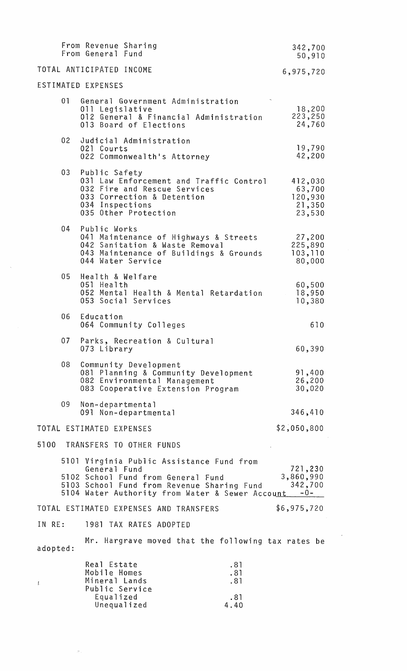|                 | From Revenue Sharing<br>From General Fund                                   |                                                                                    |                                                                                                                                                | 342,700<br>50,910                                |
|-----------------|-----------------------------------------------------------------------------|------------------------------------------------------------------------------------|------------------------------------------------------------------------------------------------------------------------------------------------|--------------------------------------------------|
|                 | TOTAL ANTICIPATED INCOME                                                    |                                                                                    |                                                                                                                                                | 6,975,720                                        |
|                 | ESTIMATED EXPENSES                                                          |                                                                                    |                                                                                                                                                |                                                  |
| 01              | 011 Legislative                                                             | 013 Board of Elections                                                             | General Government Administration<br>012 General & Financial Administration                                                                    | 18,200<br>223,250<br>24,760                      |
| 02              | 021 Courts                                                                  | Judicial Administration<br>022 Commonwealth's Attorney                             |                                                                                                                                                | 19,790<br>42,200                                 |
| 03 <sub>1</sub> | Public Safety<br>034 Inspections                                            | 032 Fire and Rescue Services<br>033 Correction & Detention<br>035 Other Protection | 031 Law Enforcement and Traffic Control                                                                                                        | 412,030<br>63,700<br>120,930<br>21,350<br>23,530 |
| 04              | Public Works                                                                | 042 Sanitation & Waste Removal<br>044 Water Service                                | 041 Maintenance of Highways & Streets<br>043 Maintenance of Buildings & Grounds                                                                | 27,200<br>225,890<br>103,110<br>80,000           |
| 05              | Health & Welfare<br>051 Health                                              | 053 Social Services                                                                | 052 Mental Health & Mental Retardation                                                                                                         | 60,500<br>18,950<br>10,380                       |
| 06              | Education                                                                   | 064 Community Colleges                                                             |                                                                                                                                                | 610                                              |
|                 | 073 Library                                                                 | 07 Parks, Recreation & Cultural                                                    |                                                                                                                                                | 60,390                                           |
| 08              |                                                                             | Community Development<br>082 Environmental Management                              | 081 Planning & Community Development<br>083 Cooperative Extension Program                                                                      | 91,400<br>26,200<br>30,020                       |
| 09              | Non-departmental                                                            | 091 Non-departmental                                                               |                                                                                                                                                | 346,410                                          |
|                 | TOTAL ESTIMATED EXPENSES                                                    |                                                                                    |                                                                                                                                                | \$2,050,800                                      |
|                 |                                                                             | 5100 TRANSFERS TO OTHER FUNDS                                                      |                                                                                                                                                |                                                  |
|                 | General Fund                                                                | 5102 School Fund from General Fund                                                 | 5101 Virginia Public Assistance Fund from<br>5103 School Fund from Revenue Sharing Fund<br>5104 Water Authority from Water & Sewer Account -0- | 721,230<br>3,860,990<br>342,700                  |
|                 |                                                                             | TOTAL ESTIMATED EXPENSES AND TRANSFERS                                             |                                                                                                                                                | \$6,975,720                                      |
| IN RE:          |                                                                             | 1981 TAX RATES ADOPTED                                                             |                                                                                                                                                |                                                  |
| adopted:        |                                                                             |                                                                                    | Mr. Hargrave moved that the following tax rates be                                                                                             |                                                  |
| L               | Real Estate<br>Mobile Homes<br>Mineral Lands<br>Public Service<br>Equalized | Unequalized                                                                        | .81<br>.81<br>.81<br>.81<br>4.40                                                                                                               |                                                  |

 $\label{eq:1} \sigma_{\rm{eff}} = \frac{1}{\sigma_{\rm{eff}}} \left[ \frac{1}{\sigma_{\rm{eff}}} \right] \left[ \frac{1}{\sigma_{\rm{eff}}} \right] \left[ \frac{1}{\sigma_{\rm{eff}}} \right] \left[ \frac{1}{\sigma_{\rm{eff}}} \right] \left[ \frac{1}{\sigma_{\rm{eff}}} \right] \left[ \frac{1}{\sigma_{\rm{eff}}} \right] \left[ \frac{1}{\sigma_{\rm{eff}}} \right] \left[ \frac{1}{\sigma_{\rm{eff}}} \right] \left[ \frac{1}{\sigma_{\rm{eff}}} \right] \left[ \frac{1}{\sigma_{\rm{eff}}} \right] \$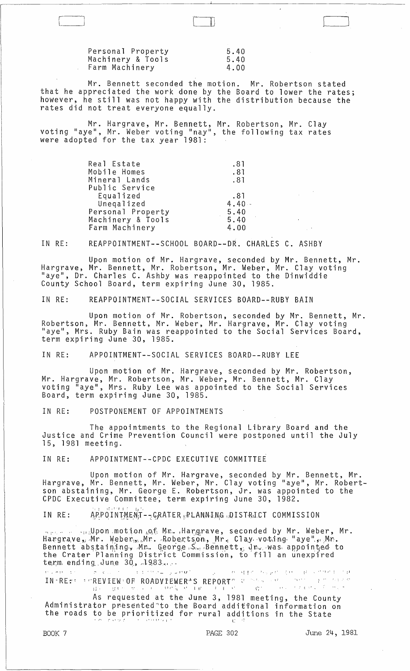Personal Property Machinery & Tools Farm Machinery 5.40 5.40 4.00

[

Mr. Bennett seconded the motion. Mr. Robertson stated that he appreciated the work done by the Board to lower the rates; however, he still was not happy with the distribution because the rates did not treat everyone equally.

 $\begin{bmatrix} 1 & 1 \\ 1 & 1 \end{bmatrix}$ 

Mr. Hargrave, Mr. Bennett, Mr. Robertson, Mr. Clay voting "aye", Mr. Weber voting "nay", the following tax rates were adopted for the tax year 1981:

| Real Estate       | .81      |
|-------------------|----------|
| Mobile Homes      | .81      |
| Mineral Lands     | .81      |
| Public Service    |          |
| Equalized         | .81      |
| Unegalized        | $4.40 -$ |
| Personal Property | 5.40     |
| Machinery & Tools | 5.40     |
| Farm Machinery    | 4.00     |

IN RE: REAPPOINTMENT--SCHOOL BOARD--DR. CHARLES C. ASHBY

Upon motion of Mr. Hargrave, seconded by Mr. Bennett, Mr. Hargrave, Mr. Bennett, Mr. Robertson, Mr. Weber, Mr. Clay voting "aye", Dr. Charles C. Ashby was reappointed to the Dinwiddie County School Board, term expiring June 30, 1985.

IN RE: REAPPOINTMENT--SOCIAL SERVICES BOARD--RUBY BAIN

Upon motion of Mr. Robertson, seconded by Mr. Bennett, Mr. Robertson, Mr. Bennett, Mr. Weber, Mr. Hargrave, Mr. Clay voting<br>"aye", Mrs. Ruby Bain was reappointed to the Social Services Board, term expiring June 30, 1985.

IN RE: APPOINTMENT--SOCIAL SERVICES BOARD--RUBY LEE

Upon motion of Mr. Hargrave, seconded by Mr. Robertson, Mr. Hargrave, Mr. Robertson, Mr. Weber, Mr. Bennett, Mr. Clay voting "aye", Mrs. Ruby Lee was appointed to the Social Services Board, term expiring June 30, 1985.

IN RE: POSTPONEMENT OF APPOINTMENTS

The appointments to the Regional Library Board and the Justice and Crime Prevention Council were postponed until the July 15, 1981 meeting.

IN RE: APPOINTMENT--CPDC EXECUTIVE COMMITTEE

Upon motion of Mr. Hargrave, seconded by Mr. Bennett, Mr. Hargrave, Mr. Bennett, Mr. Weber, Mr. Clay voting "aye", Mr. Robertson abstaining, Mr. George E. Robertson, Jr. was appointed to the CPDC Executive Committee, term expiring June 30, 1982.

APPOINTMENT -- CRATER PLANNING DISTRICT COMMISSION IN RE:

 $\ldots$  . ....Upon motion  $\rho_i$ f. Mr. Hargrave, seconded by Mr. Weber, Mr. Hargrave, Mr. Weber<sub>in L</sub>Mr. Robertson, Mr. Clay voting "aye". Nr. Bennett ab staining, Mr. George S., Bennett, Jr. was appointed to the Crater Planning District Commission, to fill an unexpired term, ending June 30,  $1983...$ 

In the state of the second condition  $\mathcal{L}_\mathbf{S}$  , and  $\mathbf{a}_i$  ,  $\mathcal{L}_\mathbf{S}$  , and  $\mathbf{d}_i$  is the second condition of  $\mathbf{a}_i$ IN RESS REVIEW OF ROADVIEWER'S REPORTS PROSES AND LOCAL A THEFT  $\mathbf{I} = \mathbf{I} - \mathbf{C}$ 

As requested at the June 3, 1981 meeting, the County Administrator presented to the Board additional information on the roads to be prioritized for rural additions in the State

-C

 $\rfloor$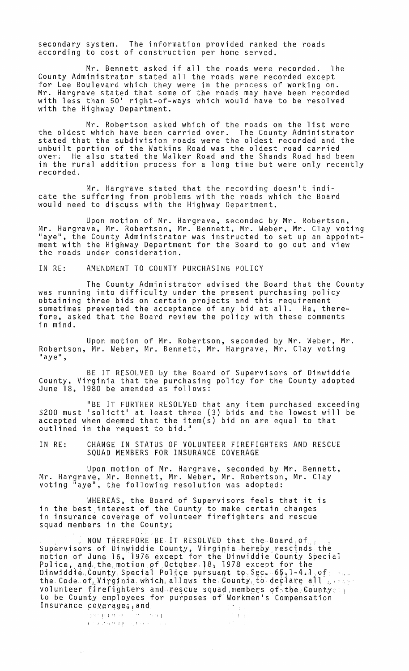secondary system. The information provided ranked the roads according to cost of construction per home served.

Mr. Bennett asked if all the roads were recorded. The County Administrator stated all the roads were recorded except for Lee Boulevard which they were in the process of working on. Mr. Hargrave stated that some of the roads may have been recorded with less than 50' right-of-ways which would have to be resolved with the Highway Department.

Mr. Robertson asked which of the roads on the list were the oldest which have been carried over. The County Administrator stated that the subdivision roads were the oldest recorded and the unbuilt portion of the Watkins Road was the oldest road carried over. He also stated the Walker Road and the Shands Road had been in the rural addition process for a long time but were only recently recorded.

Mr. Hargrave stated that the recording doesn't indicate the suffering from problems with the roads which the Board would need to discuss with the Highway Department.

Upon motion of Mr. Hargrave, seconded by Mr. Robertson, Mr. Hargrave, Mr. Robertson, Mr. Bennett, Mr. Weber, Mr. Clay voting "aye", the County Administrator was instructed to set up an appointment with the Highway Department for the Board to go out and view the roads under consideration.

IN RE: AMENDMENT TO COUNTY PURCHASING POLICY

The County Administrator advised the Board that the County was running into difficulty under the present purchasing policy obtaining three bids on certain projects and this requirement sometimes prevented the acceptance of any bid at all. He, therefore, asked that the Board review the policy with these comments in mind.

Upon motion of Mr. Robertson, seconded by Mr. Weber, Mr. Robertson, Mr. Weber, Mr. Bennett, Mr. Hargrave, Mr. Clay voting<br>"aye",

BE IT RESOLVED by the Board of Supervisors of Dinwiddie County, Virginia that the purchasing policy for the County adopted June 18, 1980 be amended as follows:

"BE IT FURTHER RESOLVED that any item purchased exceeding \$200 must 'solicit' at least three (3) bids and the lowest will be accepted when deemed that the item(s) bid on are equal to that outlined in the request to bid."

IN RE: CHANGE IN STATUS OF VOLUNTEER FIREFIGHTERS AND RESCUE SQUAD MEMBERS FOR INSURANCE COVERAGE

Upon motion of Mr. Hargrave, seconded by Mr. Bennett, Mr. Hargrave, Mr. Bennett, Mr. Weber, Mr. Robertson, Mr. Clay voting "aye", the following resolution was adopted:

WHEREAS, the Board of Supervisors feels that it is in the best interest of the County to make certain changes in the best finestes of the county to make certain enanged squad members in the County;

 $\frac{1}{2}$  NOW THEREFORE BE IT RESOLVED that the Board of  $\frac{1}{2}$ Supervisors of Dinwiddie County, Virginia hereby rescinds the motion of June 16, 1976 except for the Dinwiddie County Special Police, and the motion of October.18, 1978 except for the  $\mathsf{D}$ inwiddie, County Special Police pursuant to Sec. 65,1-4,1,0f;  $\mathsf{S}_{\mathsf{C}^\mathsf{C}}$ the, Code, of Uvirginia, which, allows the, County, to declare all the same volunteer firefighters and rescue squad members of the County to be County employees for purposes of Workmen's Compensation Insurance coverage; and  $\frac{1}{2}$ 

 $\sqrt{s}$  .

ise prider – Se speer<br>• Francia – Se speer

 $\pm 5$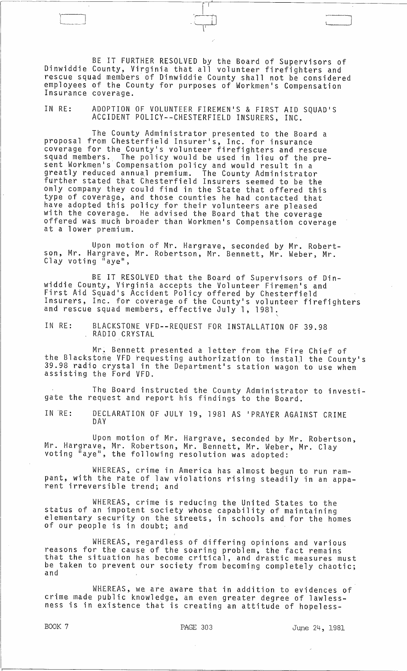BE IT FURTHER RESOLVED by the Board of Supervisors of Dinwiddie County, Virginia that all volunteer firefighters and rescue squad members of Dinwiddie County shall not be considered employees of the County for purposes of Workmen's Compensation<br>Insurance coverage.

~------------------------"-I'-'-'-----------~---------

. The contract of the contract of the contract of the contract of the contract of the contract of the contract of the contract of the contract of the contract of the contract of the contract of the contract of the contrac

'-

IN RE: ADOPTION OF VOLUNTEER FIREMEN'S & FIRST AID SQUAD'S ACCIDENT POLICY--CHESTERFIELD INSURERS, INC.

The County Administrator presented to the Board a proposal from Chesterfield Insurer's, Inc. for insurance coverage for the County's volunteer firefighters and rescue squad members. The policy would be used in lieu of the present Workmen's Compensation policy and would result in a greatly reduced annual premium. The County Administrator further stated that Chesterfield Insurers seemed to be the only company they could find in the State that offered this type of coverage, and those counties he had contacted that have adopted this policy for their volunteers are pleased with the coverage. He advised the Board that the coverage offered was much broader than Workmen's Compensation coverage at a lower premium.

Upon motion of Mr. Hargrave, seconded by Mr. Robertson, Mr. Hargrave, Mr. Robertson, Mr. Bennett, Mr. Weber, Mr. Clay voting "aye",

BE IT RESOLVED that the Board of Supervisors of Dinwiddie County, Virginia accepts the Volunteer Firemen's and First Aid Squad's Accident Policy offered by Chesterfield Insurers, Inc. for coverage of the County's volunteer firefighters and rescue squad members, effective July 1, 1981.

IN RE: BLACKSTONE VFD--REQUEST FOR INSTALLATION OF 39.98<br>, RADIO CRYSTAL

Mr. Bennett presented a letter from the Fire Chief of the Blackstone VFD requesting authorization to install the County's<br>39.98 radio crystal in the Department's station wagon to use when assisting the Ford VFD.

The Board instructed the County Administrator to investigate the request and report his findings to the Board.

IN 'RE: DECLARATION OF JULY 19, 1981 AS 'PRAYER AGAINST CRIME DAY

Upon motion of Mr. Hargrave, seconded by Mr. Robertson, Mr. Hargrave, Mr. Robertson, Mr. Bennett, Mr. Weber, Mr. Clay<br>voting "aye", the following resolution was adopted:

WHEREAS, crime in America has almost begun to run rampant, with the rate of law violations rising steadily in an apparent irreversible trend; and

WHEREAS, crime is reducing the United States to the status of an impotent society whose capability of maintaining<br>elementary security on the streets, in schools and for the homes of our people is in doubt; and

WHEREAS, regardless of differing opinions and various reasons for the cause of the soaring problem, the fact remains that the situation has become critical, and drastic measures must be taken to prevent our society from becoming completely chaotic; and

WHEREAS, we are aware that in addition to evidences of crime made public knowledge, an even greater degree of lawlessness is in existence that is creating an attitude of hopeless-

BOOK 7 **PAGE 303** June 24, 1981